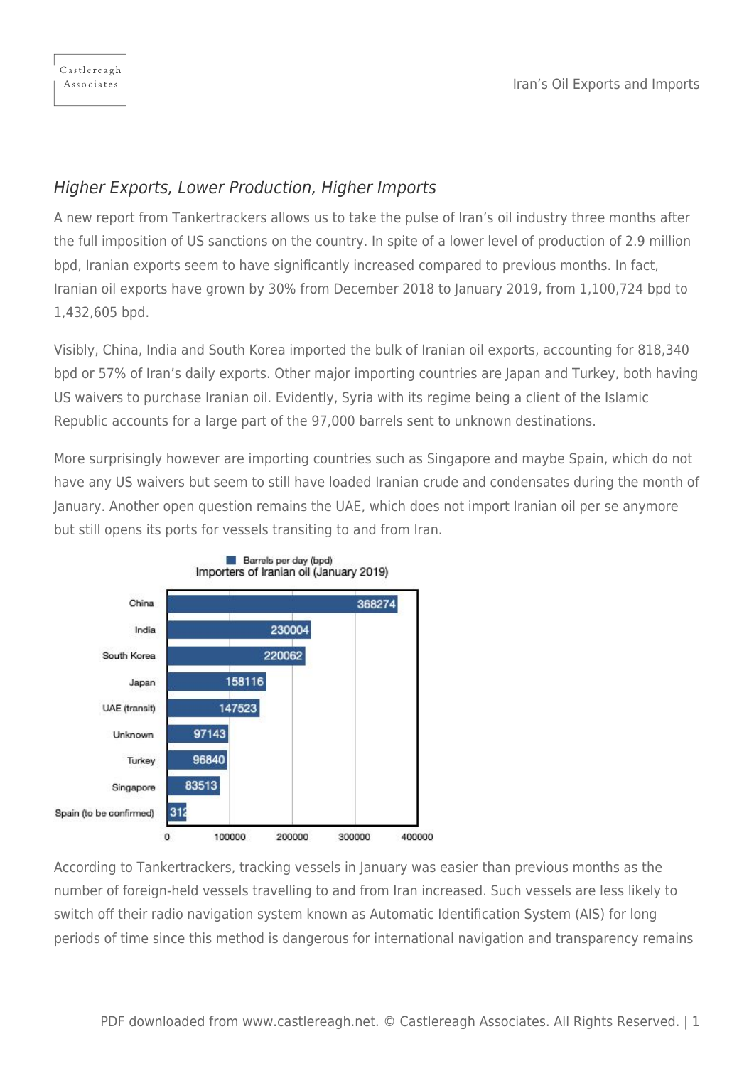## Higher Exports, Lower Production, Higher Imports

A new report from Tankertrackers allows us to take the pulse of Iran's oil industry three months after the full imposition of US sanctions on the country. In spite of a lower level of production of 2.9 million bpd, Iranian exports seem to have significantly increased compared to previous months. In fact, Iranian oil exports have grown by 30% from December 2018 to January 2019, from 1,100,724 bpd to 1,432,605 bpd.

Visibly, China, India and South Korea imported the bulk of Iranian oil exports, accounting for 818,340 bpd or 57% of Iran's daily exports. Other major importing countries are Japan and Turkey, both having US waivers to purchase Iranian oil. Evidently, Syria with its regime being a client of the Islamic Republic accounts for a large part of the 97,000 barrels sent to unknown destinations.

More surprisingly however are importing countries such as Singapore and maybe Spain, which do not have any US waivers but seem to still have loaded Iranian crude and condensates during the month of January. Another open question remains the UAE, which does not import Iranian oil per se anymore but still opens its ports for vessels transiting to and from Iran.



According to Tankertrackers, tracking vessels in January was easier than previous months as the number of foreign-held vessels travelling to and from Iran increased. Such vessels are less likely to switch off their radio navigation system known as Automatic Identification System (AIS) for long periods of time since this method is dangerous for international navigation and transparency remains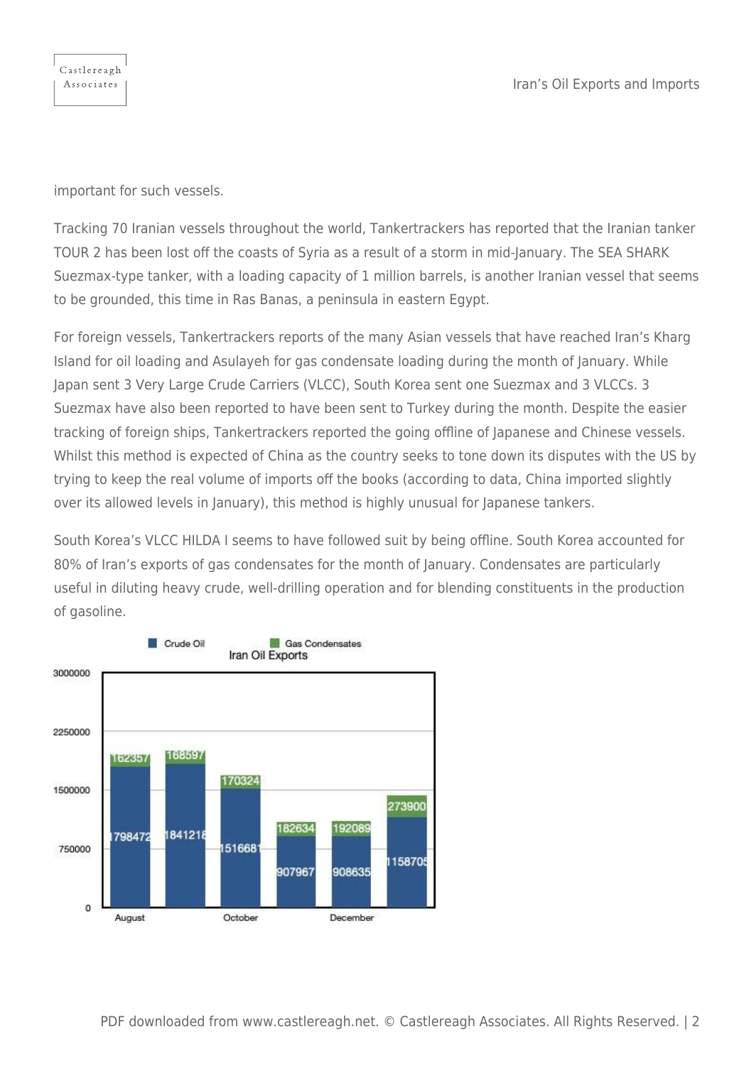important for such vessels.

Castlereagh Associates

Tracking 70 Iranian vessels throughout the world, Tankertrackers has reported that the Iranian tanker TOUR 2 has been lost off the coasts of Syria as a result of a storm in mid-January. The SEA SHARK Suezmax-type tanker, with a loading capacity of 1 million barrels, is another Iranian vessel that seems to be grounded, this time in Ras Banas, a peninsula in eastern Egypt.

For foreign vessels, Tankertrackers reports of the many Asian vessels that have reached Iran's Kharg Island for oil loading and Asulayeh for gas condensate loading during the month of January. While Japan sent 3 Very Large Crude Carriers (VLCC), South Korea sent one Suezmax and 3 VLCCs. 3 Suezmax have also been reported to have been sent to Turkey during the month. Despite the easier tracking of foreign ships, Tankertrackers reported the going offline of Japanese and Chinese vessels. Whilst this method is expected of China as the country seeks to tone down its disputes with the US by trying to keep the real volume of imports off the books (according to data, China imported slightly over its allowed levels in January), this method is highly unusual for Japanese tankers.

South Korea's VLCC HILDA I seems to have followed suit by being offline. South Korea accounted for 80% of Iran's exports of gas condensates for the month of January. Condensates are particularly useful in diluting heavy crude, well-drilling operation and for blending constituents in the production of gasoline.

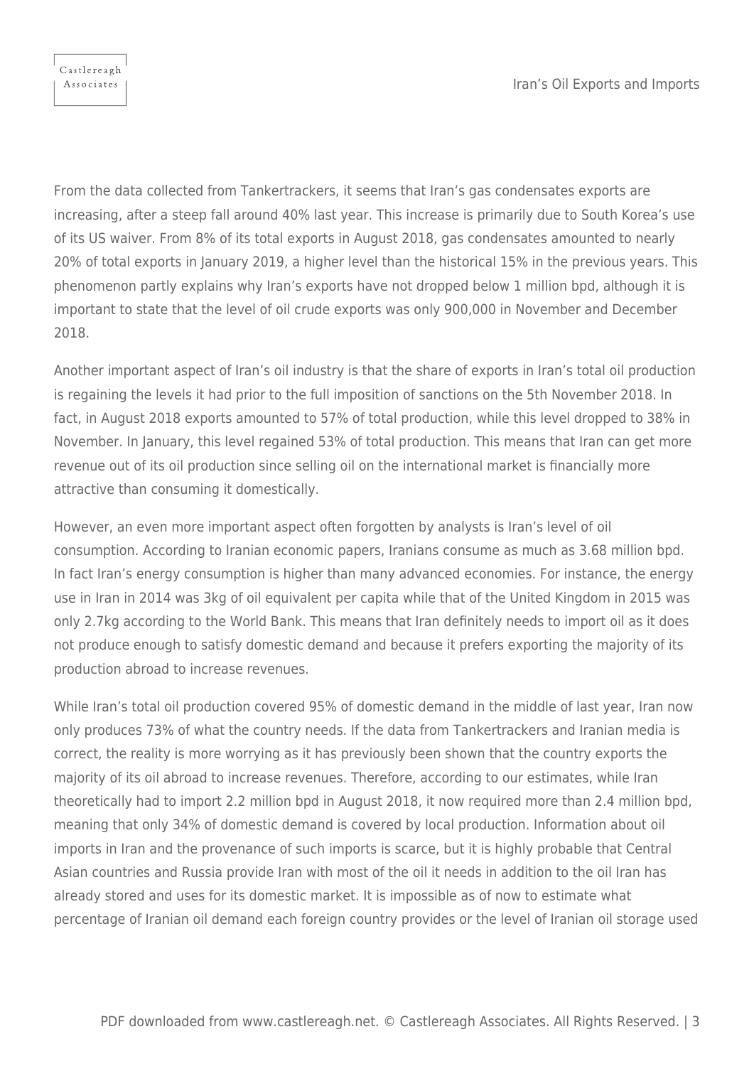Castlereagh Associates

From the data collected from Tankertrackers, it seems that Iran's gas condensates exports are increasing, after a steep fall around 40% last year. This increase is primarily due to South Korea's use of its US waiver. From 8% of its total exports in August 2018, gas condensates amounted to nearly 20% of total exports in January 2019, a higher level than the historical 15% in the previous years. This phenomenon partly explains why Iran's exports have not dropped below 1 million bpd, although it is important to state that the level of oil crude exports was only 900,000 in November and December 2018.

Another important aspect of Iran's oil industry is that the share of exports in Iran's total oil production is regaining the levels it had prior to the full imposition of sanctions on the 5th November 2018. In fact, in August 2018 exports amounted to 57% of total production, while this level dropped to 38% in November. In January, this level regained 53% of total production. This means that Iran can get more revenue out of its oil production since selling oil on the international market is financially more attractive than consuming it domestically.

However, an even more important aspect often forgotten by analysts is Iran's level of oil consumption. According to Iranian economic papers, Iranians consume as much as 3.68 million bpd. In fact Iran's energy consumption is higher than many advanced economies. For instance, the energy use in Iran in 2014 was 3kg of oil equivalent per capita while that of the United Kingdom in 2015 was only 2.7kg according to the World Bank. This means that Iran definitely needs to import oil as it does not produce enough to satisfy domestic demand and because it prefers exporting the majority of its production abroad to increase revenues.

While Iran's total oil production covered 95% of domestic demand in the middle of last year, Iran now only produces 73% of what the country needs. If the data from Tankertrackers and Iranian media is correct, the reality is more worrying as it has previously been shown that the country exports the majority of its oil abroad to increase revenues. Therefore, according to our estimates, while Iran theoretically had to import 2.2 million bpd in August 2018, it now required more than 2.4 million bpd, meaning that only 34% of domestic demand is covered by local production. Information about oil imports in Iran and the provenance of such imports is scarce, but it is highly probable that Central Asian countries and Russia provide Iran with most of the oil it needs in addition to the oil Iran has already stored and uses for its domestic market. It is impossible as of now to estimate what percentage of Iranian oil demand each foreign country provides or the level of Iranian oil storage used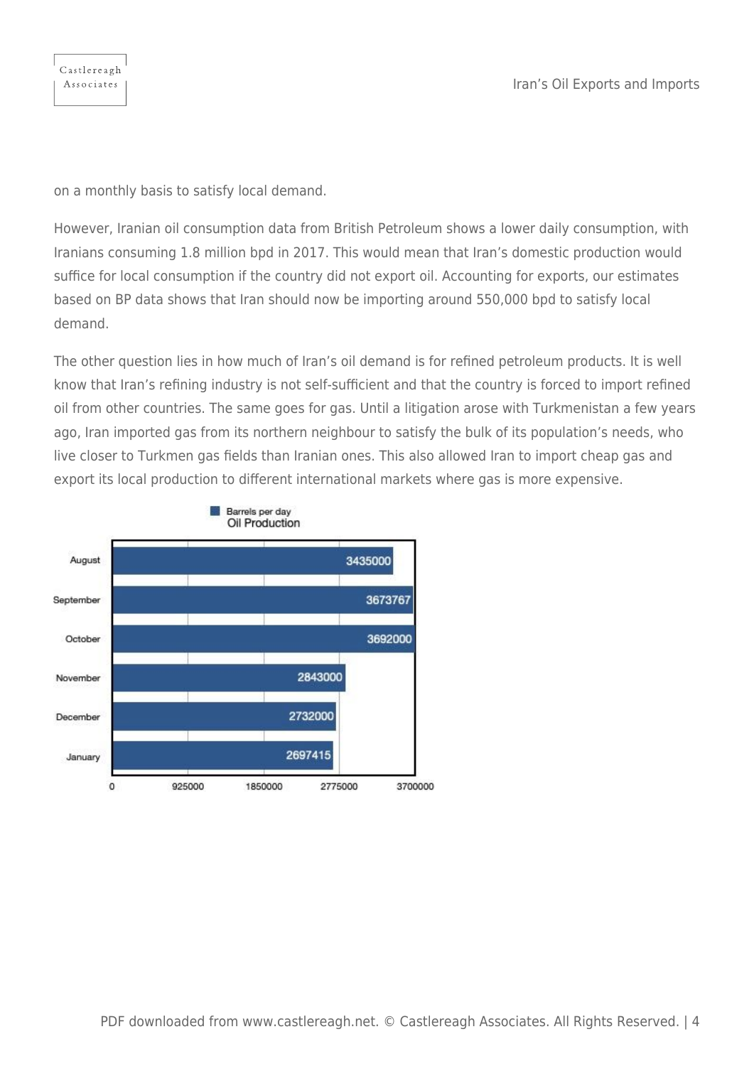on a monthly basis to satisfy local demand.

However, Iranian oil consumption data from British Petroleum shows a lower daily consumption, with Iranians consuming 1.8 million bpd in 2017. This would mean that Iran's domestic production would suffice for local consumption if the country did not export oil. Accounting for exports, our estimates based on BP data shows that Iran should now be importing around 550,000 bpd to satisfy local demand.

The other question lies in how much of Iran's oil demand is for refined petroleum products. It is well know that Iran's refining industry is not self-sufficient and that the country is forced to import refined oil from other countries. The same goes for gas. Until a litigation arose with Turkmenistan a few years ago, Iran imported gas from its northern neighbour to satisfy the bulk of its population's needs, who live closer to Turkmen gas fields than Iranian ones. This also allowed Iran to import cheap gas and export its local production to different international markets where gas is more expensive.